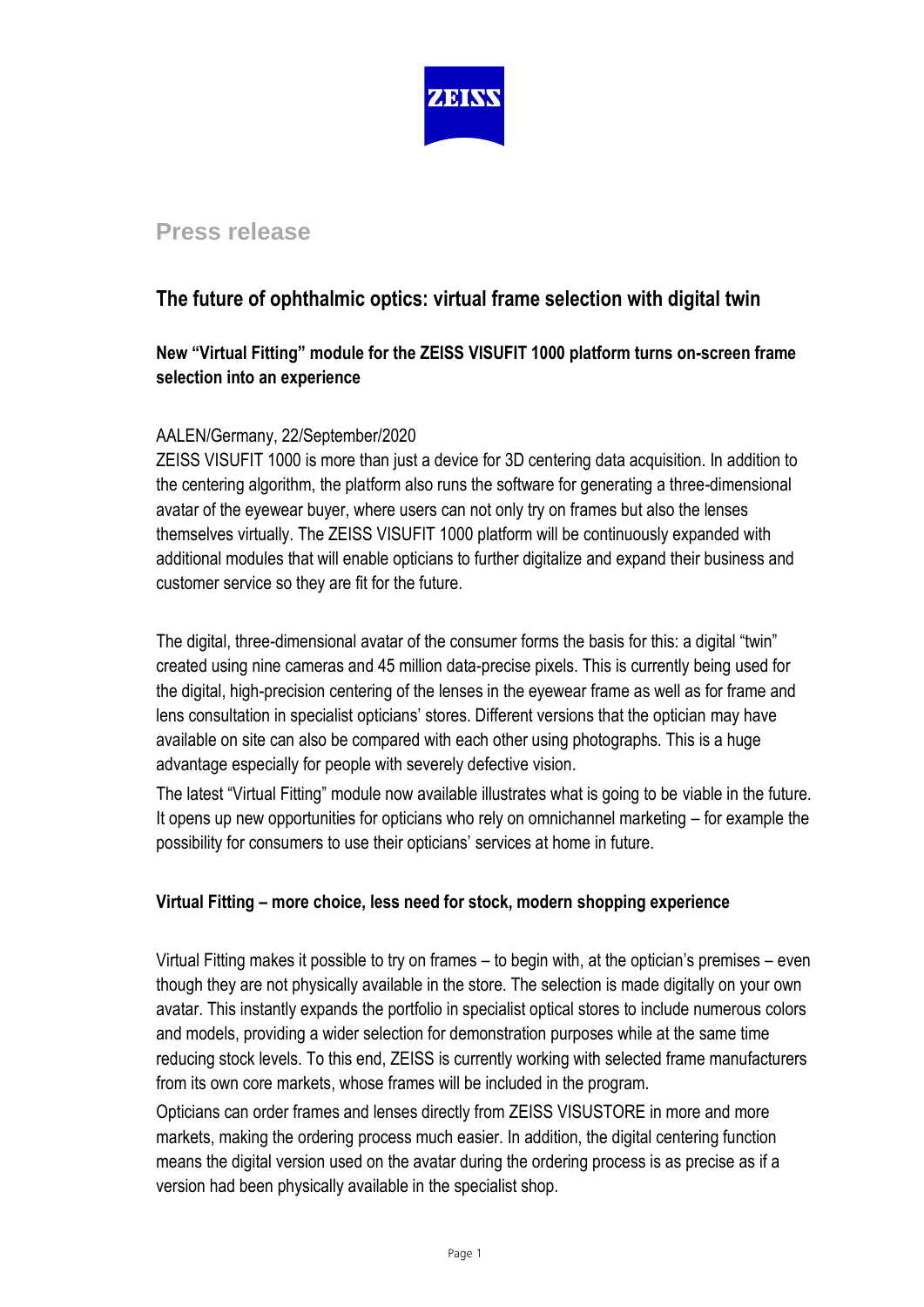

# **Press release**

# **The future of ophthalmic optics: virtual frame selection with digital twin**

## **New "Virtual Fitting" module for the ZEISS VISUFIT 1000 platform turns on-screen frame selection into an experience**

### AALEN/Germany, 22/September/2020

ZEISS VISUFIT 1000 is more than just a device for 3D centering data acquisition. In addition to the centering algorithm, the platform also runs the software for generating a three-dimensional avatar of the eyewear buyer, where users can not only try on frames but also the lenses themselves virtually. The ZEISS VISUFIT 1000 platform will be continuously expanded with additional modules that will enable opticians to further digitalize and expand their business and customer service so they are fit for the future.

The digital, three-dimensional avatar of the consumer forms the basis for this: a digital "twin" created using nine cameras and 45 million data-precise pixels. This is currently being used for the digital, high-precision centering of the lenses in the eyewear frame as well as for frame and lens consultation in specialist opticians' stores. Different versions that the optician may have available on site can also be compared with each other using photographs. This is a huge advantage especially for people with severely defective vision.

The latest "Virtual Fitting" module now available illustrates what is going to be viable in the future. It opens up new opportunities for opticians who rely on omnichannel marketing – for example the possibility for consumers to use their opticians' services at home in future.

### **Virtual Fitting – more choice, less need for stock, modern shopping experience**

Virtual Fitting makes it possible to try on frames – to begin with, at the optician's premises – even though they are not physically available in the store. The selection is made digitally on your own avatar. This instantly expands the portfolio in specialist optical stores to include numerous colors and models, providing a wider selection for demonstration purposes while at the same time reducing stock levels. To this end, ZEISS is currently working with selected frame manufacturers from its own core markets, whose frames will be included in the program.

Opticians can order frames and lenses directly from ZEISS VISUSTORE in more and more markets, making the ordering process much easier. In addition, the digital centering function means the digital version used on the avatar during the ordering process is as precise as if a version had been physically available in the specialist shop.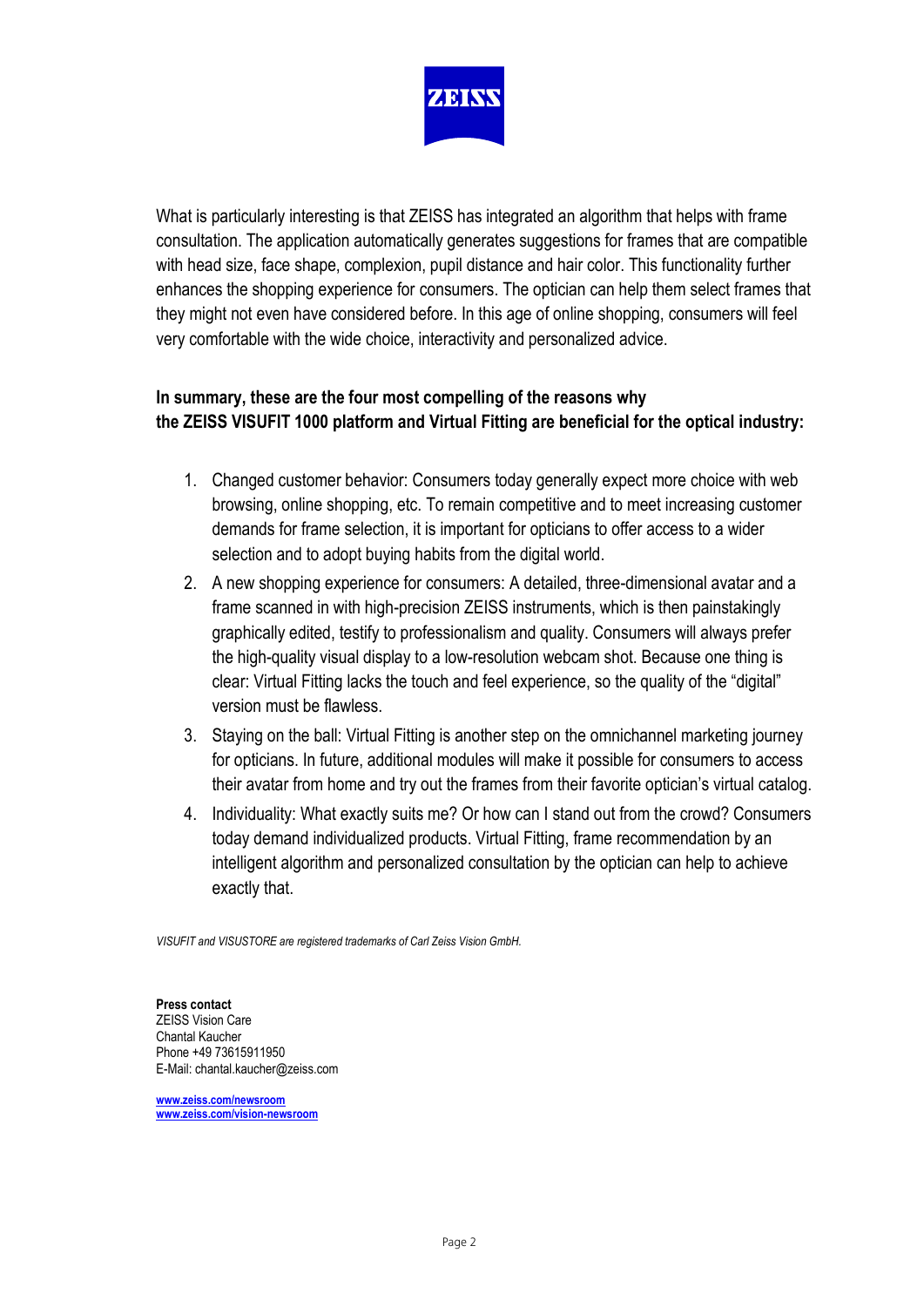

What is particularly interesting is that ZEISS has integrated an algorithm that helps with frame consultation. The application automatically generates suggestions for frames that are compatible with head size, face shape, complexion, pupil distance and hair color. This functionality further enhances the shopping experience for consumers. The optician can help them select frames that they might not even have considered before. In this age of online shopping, consumers will feel very comfortable with the wide choice, interactivity and personalized advice.

## **In summary, these are the four most compelling of the reasons why the ZEISS VISUFIT 1000 platform and Virtual Fitting are beneficial for the optical industry:**

- 1. Changed customer behavior: Consumers today generally expect more choice with web browsing, online shopping, etc. To remain competitive and to meet increasing customer demands for frame selection, it is important for opticians to offer access to a wider selection and to adopt buying habits from the digital world.
- 2. A new shopping experience for consumers: A detailed, three-dimensional avatar and a frame scanned in with high-precision ZEISS instruments, which is then painstakingly graphically edited, testify to professionalism and quality. Consumers will always prefer the high-quality visual display to a low-resolution webcam shot. Because one thing is clear: Virtual Fitting lacks the touch and feel experience, so the quality of the "digital" version must be flawless.
- 3. Staying on the ball: Virtual Fitting is another step on the omnichannel marketing journey for opticians. In future, additional modules will make it possible for consumers to access their avatar from home and try out the frames from their favorite optician's virtual catalog.
- 4. Individuality: What exactly suits me? Or how can I stand out from the crowd? Consumers today demand individualized products. Virtual Fitting, frame recommendation by an intelligent algorithm and personalized consultation by the optician can help to achieve exactly that.

*VISUFIT and VISUSTORE are registered trademarks of Carl Zeiss Vision GmbH.* 

**Press contact**  ZEISS Vision Care Chantal Kaucher Phone +49 73615911950 E-Mail: chantal.kaucher@zeiss.com

**[www.zeiss.com/newsroom](http://www.zeiss.com/newsroom) [www.zeiss.com/vision-newsr](http://www.zeiss.com/vision-news)oom**